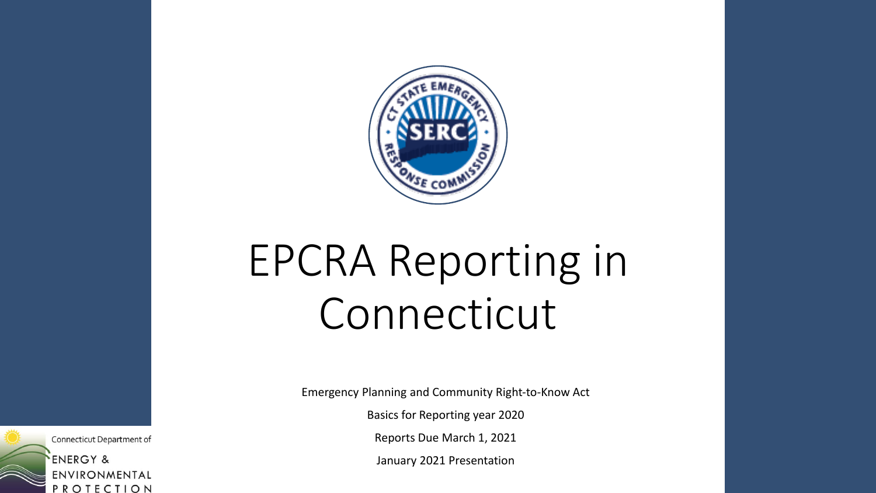

# EPCRA Reporting in Connecticut

Emergency Planning and Community Right-to-Know Act

Basics for Reporting year 2020

Reports Due March 1, 2021

January 2021 Presentation

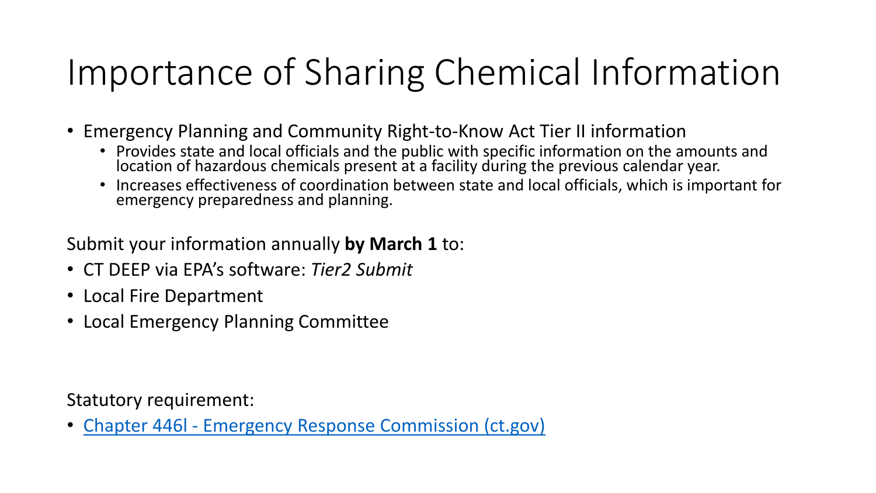## Importance of Sharing Chemical Information

- Emergency Planning and Community Right-to-Know Act Tier II information
	- Provides state and local officials and the public with specific information on the amounts and location of hazardous chemicals present at a facility during the previous calendar year.
	- Increases effectiveness of coordination between state and local officials, which is important for emergency preparedness and planning.

#### Submit your information annually **by March 1** to:

- CT DEEP via EPA's software: *Tier2 Submit*
- Local Fire Department
- Local Emergency Planning Committee

Statutory requirement:

• Chapter 446l - [Emergency Response Commission \(ct.gov\)](https://cga.ct.gov/current/pub/Chap_446l.htm)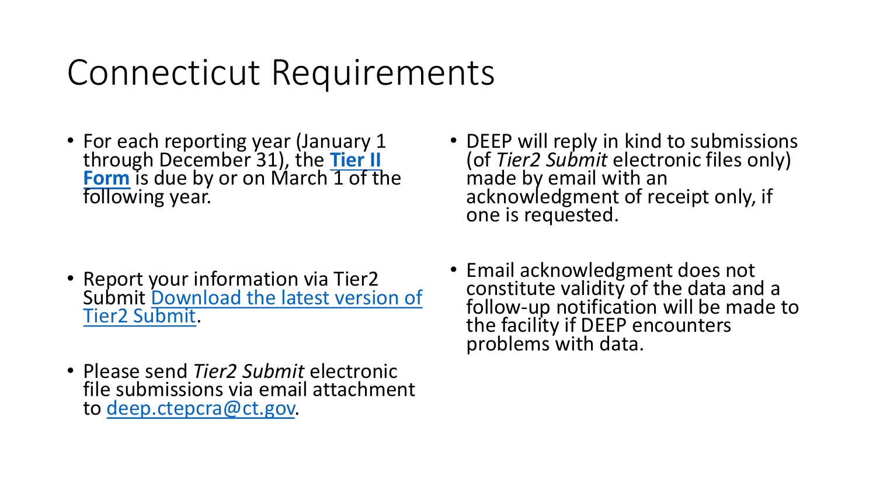### Connecticut Requirements

• For each reporting year (January 1 through December 31), the **Tier II Form** [is due by or on March 1 of th](https://www.epa.gov/epcra/tier2-submit-software)e following year.

- Report your information via Tier2 [Submit Download the latest version of](https://www.epa.gov/epcra/tier2-submit-software)  Tier2 Submit.
- Please send *Tier2 Submit* electronic file submissions via email attachment to [deep.ctepcra@ct.gov.](mailto:dep.ctepcra@ct.gov)
- DEEP will reply in kind to submissions (of *Tier2 Submit* electronic files only) made by email with an acknowledgment of receipt only, if one is requested.
- Email acknowledgment does not constitute validity of the data and a follow-up notification will be made to the facility if DEEP encounters problems with data.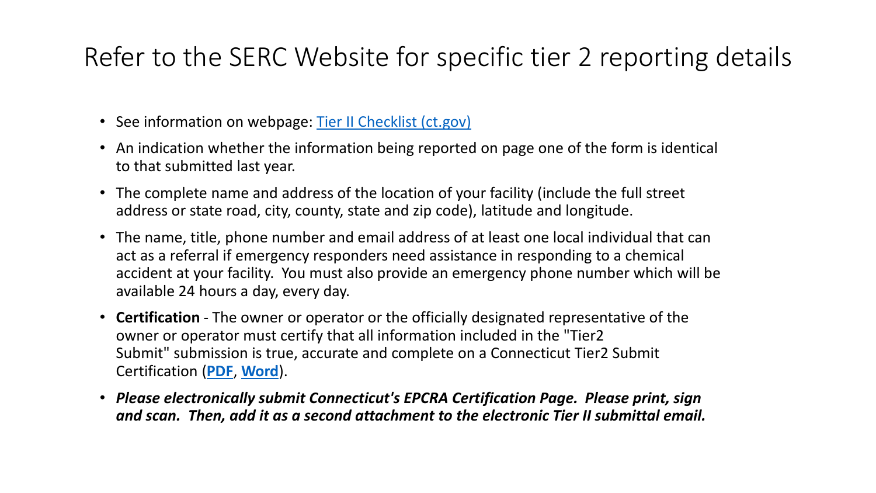#### Refer to the SERC Website for specific tier 2 reporting details

- See information on webpage: [Tier II Checklist \(ct.gov\)](https://portal.ct.gov/SERC/Facility-Information/Facility-Information/Tier-II-Checklist)
- An indication whether the information being reported on page one of the form is identical to that submitted last year.
- The complete name and address of the location of your facility (include the full street address or state road, city, county, state and zip code), latitude and longitude.
- The name, title, phone number and email address of at least one local individual that can act as a referral if emergency responders need assistance in responding to a chemical accident at your facility. You must also provide an emergency phone number which will be available 24 hours a day, every day.
- **Certification** The owner or operator or the officially designated representative of the owner or operator must certify that all information included in the "Tier2 Submit" submission is true, accurate and complete on a Connecticut Tier2 Submit Certification (**[PDF](https://portal.ct.gov/-/media/SERC/Facility_Reporting_Forms/tieriicertificationpdf.pdf)**, **[Word](https://portal.ct.gov/-/media/SERC/Facility_Reporting_Forms/tierIIcertificationdoc.doc)**).
- *Please electronically submit Connecticut's EPCRA Certification Page. Please print, sign and scan. Then, add it as a second attachment to the electronic Tier II submittal email.*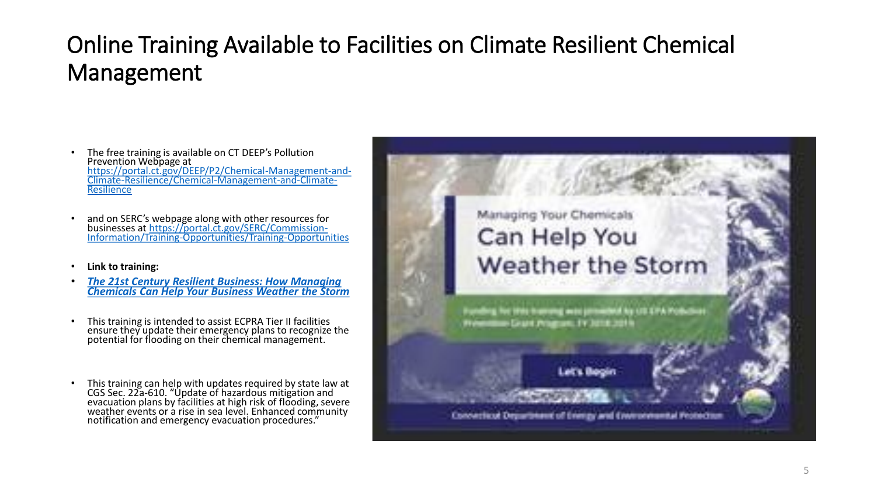#### Online Training Available to Facilities on Climate Resilient Chemical Management

- The free training is available on CT DEEP's Pollution Prevention Webpage at https://portal.ct.gov/DEEP/P2/Chemical-Management-and-[Climate-Resilience/Chemical-Management-and-Climate-](https://portal.ct.gov/DEEP/P2/Chemical-Management-and-Climate-Resilience/Chemical-Management-and-Climate-Resilience)**Resilience**
- and on SERC's webpage along with other resources for businesses at https://portal.ct.gov/SERC/Commission-[Information/Training-Opportunities/Training-Opportunities](https://portal.ct.gov/SERC/Commission-Information/Training-Opportunities/Training-Opportunities)
- **Link to training:**
- *The 21st Century Resilient Business: How Managing [Chemicals Can Help Your Business Weather the Storm](https://deep.rockfishlearning.com/?KeyName=DEEP)*
- This training is intended to assist ECPRA Tier II facilities ensure they update their emergency plans to recognize the potential for flooding on their chemical management.
- This training can help with updates required by state law at CGS Sec. 22a-610. "Update of hazardous mitigation and evacuation plans by facilities at high risk of flooding, severe weather events or a rise in sea level. Enhanced community notification and emergency evacuation procedures."



big for 1991 transmit was primated by US EPA Pob

Converticut Department of Everigy and Everonmental Protectio